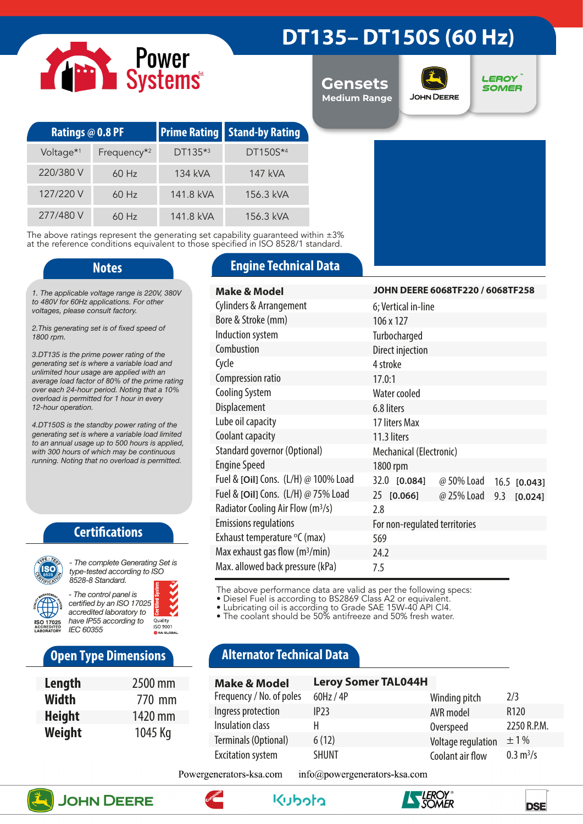# Power<br>Systems

### **DT135– DT150S (60 Hz)**

**Gensets Medium Range**



**LEROY SOMER** 

| <b>Ratings @ 0.8 PF</b> |                         |           | <b>Prime Rating Stand-by Rating</b> |  |
|-------------------------|-------------------------|-----------|-------------------------------------|--|
| Voltage <sup>*1</sup>   | Frequency <sup>*2</sup> | DT135*3   | DT150S*4                            |  |
| 220/380 V               | $60$ Hz                 | 134 kVA   | 147 kVA                             |  |
| 127/220 V               | $60$ Hz                 | 141.8 kVA | 156.3 kVA                           |  |
| 277/480 V               | $60$ Hz                 | 141.8 kVA | 156.3 kVA                           |  |

The above ratings represent the generating set capability guaranteed within ±3% at the reference conditions equivalent to those specified in ISO 8528/1 standard.

*1. The applicable voltage range is 220V, 380V to 480V for 60Hz applications. For other voltages, please consult factory.* 

*2.This generating set is of fixed speed of 1800 rpm.*

*3.DT135 is the prime power rating of the generating set is where a variable load and unlimited hour usage are applied with an average load factor of 80% of the prime rating over each 24-hour period. Noting that a 10% overload is permitted for 1 hour in every 12-hour operation.*

*4.DT150S is the standby power rating of the generating set is where a variable load limited to an annual usage up to 500 hours is applied, with 300 hours of which may be continuous running. Noting that no overload is permitted.*

### **Certifications**



*type-tested according to ISO 8528-8 Standard. - The control panel is certified by an ISO 17025* 

*accredited laboratory to have IP55 according to*  Quality<br>ISO 9001 *IEC 60355*

### **Open Type Dimensions**

| Length        | 2500 mm |
|---------------|---------|
| <b>Width</b>  | 770 mm  |
| <b>Height</b> | 1420 mm |
| Weight        | 1045 Kg |

### **Notes Engine Technical Data**

| <b>Make &amp; Model</b>                       | JOHN DEERE 6068TF220 / 6068TF258        |  |  |
|-----------------------------------------------|-----------------------------------------|--|--|
| <b>Cylinders &amp; Arrangement</b>            | 6; Vertical in-line                     |  |  |
| Bore & Stroke (mm)                            | 106 x 127                               |  |  |
| Induction system                              | Turbocharged                            |  |  |
| Combustion                                    | Direct injection                        |  |  |
| Cycle                                         | 4 stroke                                |  |  |
| Compression ratio                             | 17.0:1                                  |  |  |
| <b>Cooling System</b>                         | Water cooled                            |  |  |
| Displacement                                  | 6.8 liters                              |  |  |
| Lube oil capacity                             | 17 liters Max                           |  |  |
| Coolant capacity                              | 11.3 liters                             |  |  |
| Standard governor (Optional)                  | Mechanical (Electronic)                 |  |  |
| <b>Engine Speed</b>                           | 1800 rpm                                |  |  |
| Fuel & [Oil] Cons. (L/H) @ 100% Load          | 32.0 [0.084]<br>@ 50% Load 16.5 [0.043] |  |  |
| Fuel & [Oil] Cons. (L/H) @ 75% Load           | 25 [0.066]<br>@ 25% Load 9.3<br>[0.024] |  |  |
| Radiator Cooling Air Flow (m <sup>3</sup> /s) | 2.8                                     |  |  |
| <b>Emissions regulations</b>                  | For non-regulated territories           |  |  |
| Exhaust temperature °C (max)                  | 569                                     |  |  |
| Max exhaust gas flow $(m^3/min)$              | 24.2                                    |  |  |
| Max. allowed back pressure (kPa)              | 7.5                                     |  |  |

The above performance data are valid as per the following specs:

• Diesel Fuel is according to BS2869 Class A2 or equivalent.

• Lubricating oil is according to Grade SAE 15W-40 API CI4.

• The coolant should be 50% antifreeze and 50% fresh water.

### **Alternator Technical Data**

| <b>Make &amp; Model</b>  | <b>Leroy Somer TAL044H</b> |                    |                            |
|--------------------------|----------------------------|--------------------|----------------------------|
| Frequency / No. of poles | 60Hz / 4P                  | Winding pitch      | 2/3                        |
| Ingress protection       | IP23                       | AVR model          | R <sub>120</sub>           |
| Insulation class         | н                          | Overspeed          | 2250 R.P.M.                |
| Terminals (Optional)     | 6(12)                      | Voltage regulation | $\pm 1\%$                  |
| <b>Excitation system</b> | <b>SHUNT</b>               | Coolant air flow   | $0.3 \text{ m}^3/\text{s}$ |

Powergenerators-ksa.com info@powergenerators-ksa.com









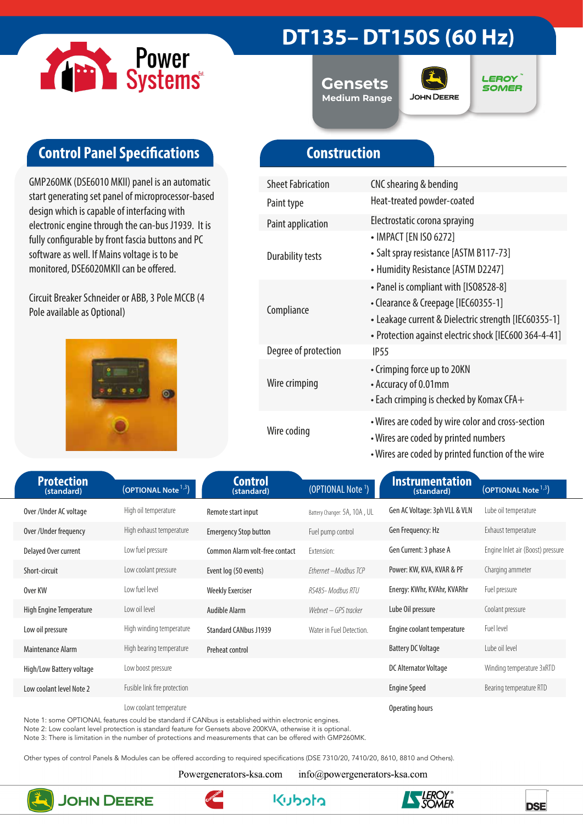

## **DT135– DT150S (60 Hz)**

**Gensets Medium Range**



**LEROY SOMER** 

### **Control Panel Specifications**

GMP260MK (DSE6010 MKII) panel is an automatic start generating set panel of microprocessor-based design which is capable of interfacing with electronic engine through the can-bus J1939. It is fully configurable by front fascia buttons and PC software as well. If Mains voltage is to be monitored, DSE6020MKII can be offered.

Circuit Breaker Schneider or ABB, 3 Pole MCCB (4 Pole available as Optional)



### **Construction**

| <b>Sheet Fabrication</b> | CNC shearing & bending                                                                                                                                                                        |
|--------------------------|-----------------------------------------------------------------------------------------------------------------------------------------------------------------------------------------------|
| Paint type               | Heat-treated powder-coated                                                                                                                                                                    |
| Paint application        | Electrostatic corona spraying                                                                                                                                                                 |
| <b>Durability tests</b>  | • IMPACT [EN ISO 6272]<br>• Salt spray resistance [ASTM B117-73]<br>• Humidity Resistance [ASTM D2247]                                                                                        |
| Compliance               | • Panel is compliant with [ISO8528-8]<br>• Clearance & Creepage [IEC60355-1]<br>• Leakage current & Dielectric strength [IEC60355-1]<br>• Protection against electric shock [IEC600 364-4-41] |
| Degree of protection     | IP55                                                                                                                                                                                          |
| Wire crimping            | • Crimping force up to 20KN<br>• Accuracy of 0.01mm<br>• Each crimping is checked by Komax CFA+                                                                                               |
| Wire coding              | • Wires are coded by wire color and cross-section<br>• Wires are coded by printed numbers<br>• Wires are coded by printed function of the wire                                                |

| <b>Protection</b><br>(standard) | (OPTIONAL Note <sup>1,3</sup> ) | <b>Control</b><br>(standard)   | (OPTIONAL Note <sup>1</sup> ) | Instrumentation<br>(standard) | (OPTIONAL Note <sup>1,3</sup> )   |
|---------------------------------|---------------------------------|--------------------------------|-------------------------------|-------------------------------|-----------------------------------|
| Over/Under AC voltage           | High oil temperature            | Remote start input             | Battery Changer: 5A, 10A, UL  | Gen AC Voltage: 3ph VLL & VLN | Lube oil temperature              |
| Over /Under frequency           | High exhaust temperature        | <b>Emergency Stop button</b>   | Fuel pump control             | Gen Frequency: Hz             | Exhaust temperature               |
| Delayed Over current            | Low fuel pressure               | Common Alarm volt-free contact | Extension:                    | Gen Current: 3 phase A        | Engine Inlet air (Boost) pressure |
| Short-circuit                   | Low coolant pressure            | Event log (50 events)          | Ethernet - Modbus TCP         | Power: KW, KVA, KVAR & PF     | Charging ammeter                  |
| Over KW                         | Low fuel level                  | <b>Weekly Exerciser</b>        | RS485- Modbus RTU             | Energy: KWhr, KVAhr, KVARhr   | Fuel pressure                     |
| High Engine Temperature         | Low oil level                   | Audible Alarm                  | Webnet – GPS tracker          | Lube Oil pressure             | Coolant pressure                  |
| Low oil pressure                | High winding temperature        | <b>Standard CANbus J1939</b>   | Water in Fuel Detection.      | Engine coolant temperature    | Fuel level                        |
| Maintenance Alarm               | High bearing temperature        | Preheat control                |                               | <b>Battery DC Voltage</b>     | Lube oil level                    |
| High/Low Battery voltage        | Low boost pressure              |                                |                               | DC Alternator Voltage         | Winding temperature 3xRTD         |
| Low coolant level Note 2        | Fusible link fire protection    |                                |                               | <b>Engine Speed</b>           | Bearing temperature RTD           |
|                                 | Low coolant temperature         |                                |                               | Operating hours               |                                   |

Note 1: some OPTIONAL features could be standard if CANbus is established within electronic engines.

Note 2: Low coolant level protection is standard feature for Gensets above 200KVA, otherwise it is optional.

Note 3: There is limitation in the number of protections and measurements that can be offered with GMP260MK.

Other types of control Panels & Modules can be offered according to required specifications (DSE 7310/20, 7410/20, 8610, 8810 and Others).

Powergenerators-ksa.com

info@powergenerators-ksa.com

**Kuboto** 



**JOHN DEERE**